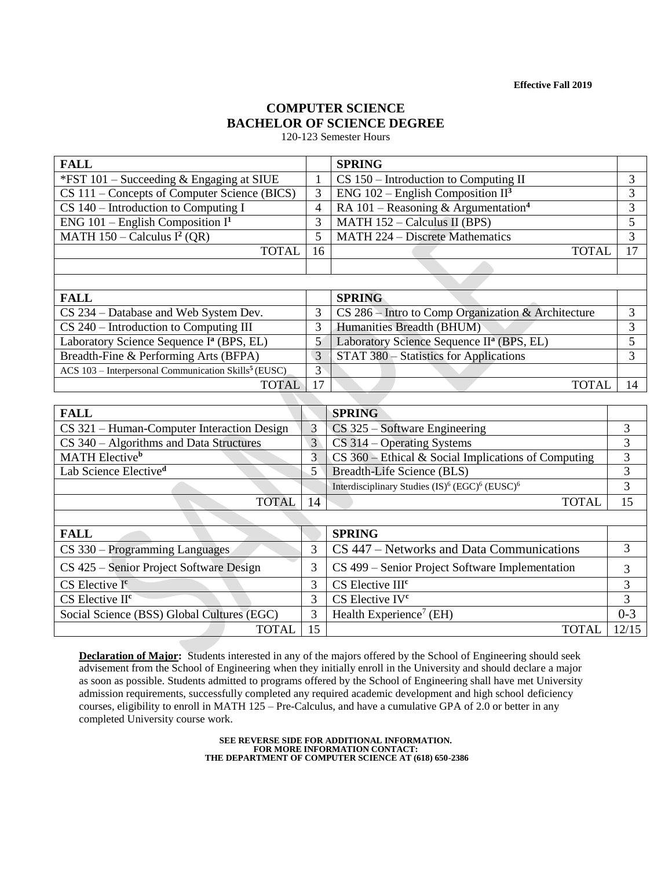**Effective Fall 2019**

# **COMPUTER SCIENCE BACHELOR OF SCIENCE DEGREE**

120-123 Semester Hours

| <b>FALL</b>                                                      |                 | <b>SPRING</b>                                                                      |                                  |
|------------------------------------------------------------------|-----------------|------------------------------------------------------------------------------------|----------------------------------|
| *FST 101 - Succeeding & Engaging at SIUE                         | 1               | $\overline{\text{CS }150}$ – Introduction to Computing II                          | 3                                |
| CS 111 – Concepts of Computer Science (BICS)                     | 3               | ENG 102 – English Composition $II^3$                                               | 3                                |
| $\overline{\text{CS }140}$ – Introduction to Computing I         | 4               | RA 101 – Reasoning & Argumentation <sup>4</sup>                                    | 3                                |
| ENG 101 - English Composition $I1$                               | 3               | MATH $152 -$ Calculus II (BPS)                                                     | 5                                |
| MATH $150 -$ Calculus I <sup>2</sup> (QR)                        | 5               | MATH 224 - Discrete Mathematics                                                    | 3                                |
| <b>TOTAL</b>                                                     | 16              | <b>TOTAL</b>                                                                       | 17                               |
|                                                                  |                 |                                                                                    |                                  |
|                                                                  |                 |                                                                                    |                                  |
| <b>FALL</b>                                                      |                 | <b>SPRING</b>                                                                      |                                  |
| CS 234 – Database and Web System Dev.                            | 3               | $CS$ 286 – Intro to Comp Organization & Architecture                               | 3                                |
| $CS$ 240 – Introduction to Computing III                         | 3               | Humanities Breadth (BHUM)                                                          | 3                                |
| Laboratory Science Sequence I <sup>ª</sup> (BPS, EL)             | 5               | Laboratory Science Sequence II <sup>a</sup> (BPS, EL)                              | 5                                |
| Breadth-Fine & Performing Arts (BFPA)                            | 3               | STAT 380 - Statistics for Applications                                             | 3                                |
| ACS 103 - Interpersonal Communication Skills <sup>5</sup> (EUSC) | $\overline{3}$  |                                                                                    |                                  |
| <b>TOTAL</b>                                                     | 17              | <b>TOTAL</b>                                                                       | 14                               |
|                                                                  |                 |                                                                                    |                                  |
| <b>FALL</b>                                                      |                 | <b>SPRING</b>                                                                      |                                  |
| CS 321 - Human-Computer Interaction Design                       | $\overline{3}$  | $CS$ 325 – Software Engineering                                                    | 3                                |
| CS 340 – Algorithms and Data Structures                          | $\overline{3}$  | $CS$ 314 – Operating Systems                                                       | 3                                |
| MATH Elective <sup>b</sup>                                       | $\overline{3}$  | $CS$ 360 – Ethical & Social Implications of Computing                              | $\overline{3}$<br>$\overline{3}$ |
| Lab Science Elective <sup>d</sup>                                | 5               | Breadth-Life Science (BLS)                                                         |                                  |
|                                                                  |                 | Interdisciplinary Studies (IS) <sup>6</sup> (EGC) <sup>6</sup> (EUSC) <sup>6</sup> | $\overline{3}$                   |
| <b>TOTAL</b>                                                     | 14              | <b>TOTAL</b>                                                                       | 15                               |
|                                                                  |                 |                                                                                    |                                  |
| <b>FALL</b>                                                      |                 | <b>SPRING</b>                                                                      |                                  |
| CS 330 – Programming Languages                                   | 3               | CS 447 – Networks and Data Communications                                          | 3                                |
| CS 425 - Senior Project Software Design                          | 3               | CS 499 - Senior Project Software Implementation                                    | 3                                |
| CS Elective I <sup>c</sup>                                       | 3               | CS Elective III <sup>c</sup>                                                       | 3                                |
| CS Elective II <sup>c</sup>                                      | 3               | CS Elective IV <sup>c</sup>                                                        | $\overline{3}$                   |
| Social Science (BSS) Global Cultures (EGC)                       | 3               | Health Experience <sup>7</sup> (EH)                                                | $0 - 3$                          |
| <b>TOTAL</b>                                                     | $\overline{15}$ | <b>TOTAL</b>                                                                       | 12/15                            |

**Declaration of Major:** Students interested in any of the majors offered by the School of Engineering should seek advisement from the School of Engineering when they initially enroll in the University and should declare a major as soon as possible. Students admitted to programs offered by the School of Engineering shall have met University admission requirements, successfully completed any required academic development and high school deficiency courses, eligibility to enroll in MATH 125 – Pre-Calculus, and have a cumulative GPA of 2.0 or better in any completed University course work.

> **SEE REVERSE SIDE FOR ADDITIONAL INFORMATION. FOR MORE INFORMATION CONTACT: THE DEPARTMENT OF COMPUTER SCIENCE AT (618) 650-2386**